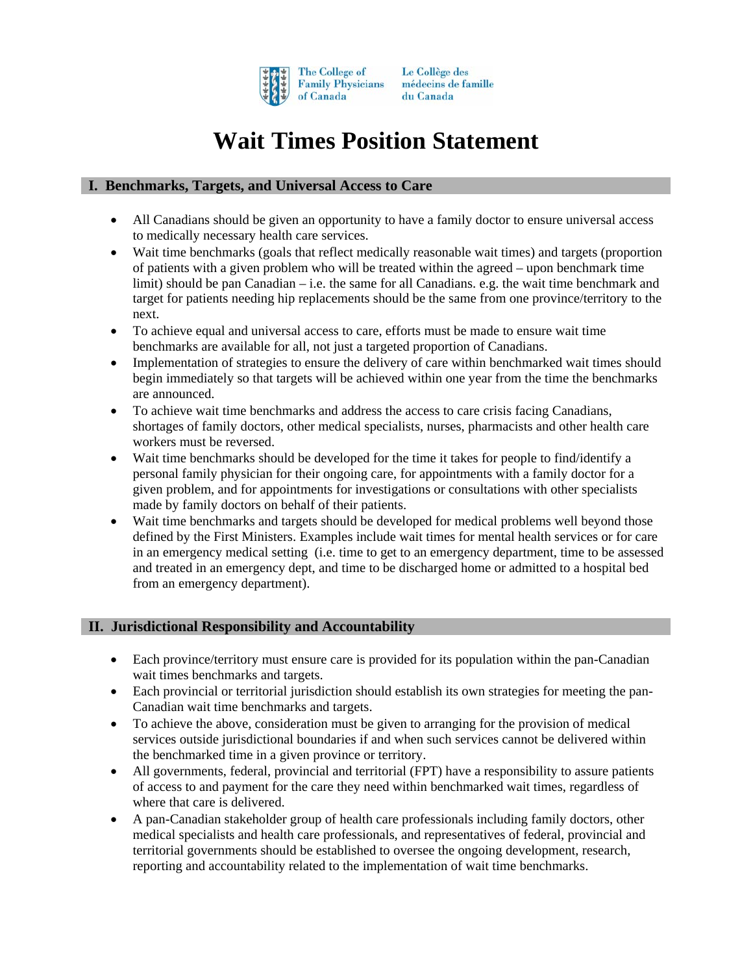

Le Collège des médecins de famille du Canada

# **Wait Times Position Statement**

## **I. Benchmarks, Targets, and Universal Access to Care**

- All Canadians should be given an opportunity to have a family doctor to ensure universal access to medically necessary health care services.
- Wait time benchmarks (goals that reflect medically reasonable wait times) and targets (proportion of patients with a given problem who will be treated within the agreed – upon benchmark time limit) should be pan Canadian – i.e. the same for all Canadians. e.g. the wait time benchmark and target for patients needing hip replacements should be the same from one province/territory to the next.
- To achieve equal and universal access to care, efforts must be made to ensure wait time benchmarks are available for all, not just a targeted proportion of Canadians.
- Implementation of strategies to ensure the delivery of care within benchmarked wait times should begin immediately so that targets will be achieved within one year from the time the benchmarks are announced.
- To achieve wait time benchmarks and address the access to care crisis facing Canadians, shortages of family doctors, other medical specialists, nurses, pharmacists and other health care workers must be reversed.
- Wait time benchmarks should be developed for the time it takes for people to find/identify a personal family physician for their ongoing care, for appointments with a family doctor for a given problem, and for appointments for investigations or consultations with other specialists made by family doctors on behalf of their patients.
- Wait time benchmarks and targets should be developed for medical problems well beyond those defined by the First Ministers. Examples include wait times for mental health services or for care in an emergency medical setting (i.e. time to get to an emergency department, time to be assessed and treated in an emergency dept, and time to be discharged home or admitted to a hospital bed from an emergency department).

### **II. Jurisdictional Responsibility and Accountability**

- Each province/territory must ensure care is provided for its population within the pan-Canadian wait times benchmarks and targets.
- Each provincial or territorial jurisdiction should establish its own strategies for meeting the pan-Canadian wait time benchmarks and targets.
- To achieve the above, consideration must be given to arranging for the provision of medical services outside jurisdictional boundaries if and when such services cannot be delivered within the benchmarked time in a given province or territory.
- All governments, federal, provincial and territorial (FPT) have a responsibility to assure patients of access to and payment for the care they need within benchmarked wait times, regardless of where that care is delivered.
- A pan-Canadian stakeholder group of health care professionals including family doctors, other medical specialists and health care professionals, and representatives of federal, provincial and territorial governments should be established to oversee the ongoing development, research, reporting and accountability related to the implementation of wait time benchmarks.